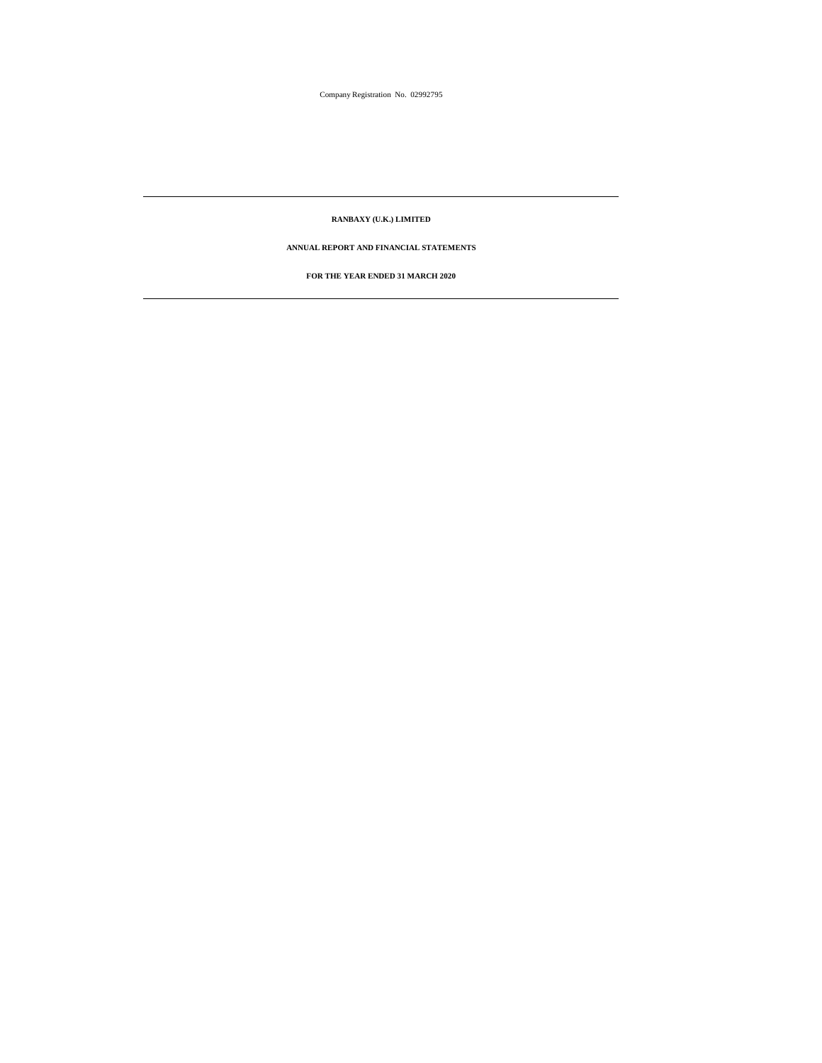Company Registration No. 02992795

**RANBAXY (U.K.) LIMITED**

**ANNUAL REPORT AND FINANCIAL STATEMENTS**

**FOR THE YEAR ENDED 31 MARCH 2020**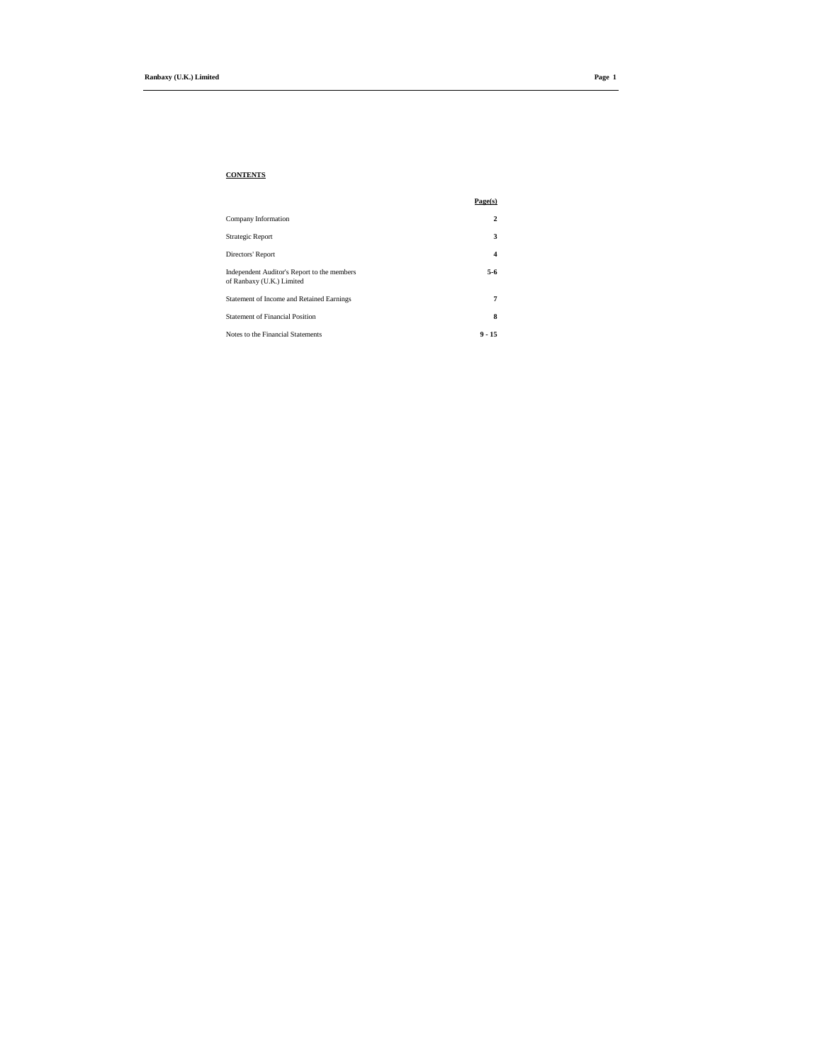# **CONTENTS**

|                                                                          | Page(s)                 |
|--------------------------------------------------------------------------|-------------------------|
| Company Information                                                      | $\overline{\mathbf{c}}$ |
| Strategic Report                                                         | 3                       |
| Directors' Report                                                        | $\overline{\mathbf{4}}$ |
| Independent Auditor's Report to the members<br>of Ranbaxy (U.K.) Limited | $5-6$                   |
| Statement of Income and Retained Earnings                                | 7                       |
| <b>Statement of Financial Position</b>                                   | 8                       |
| Notes to the Financial Statements                                        | $9 - 15$                |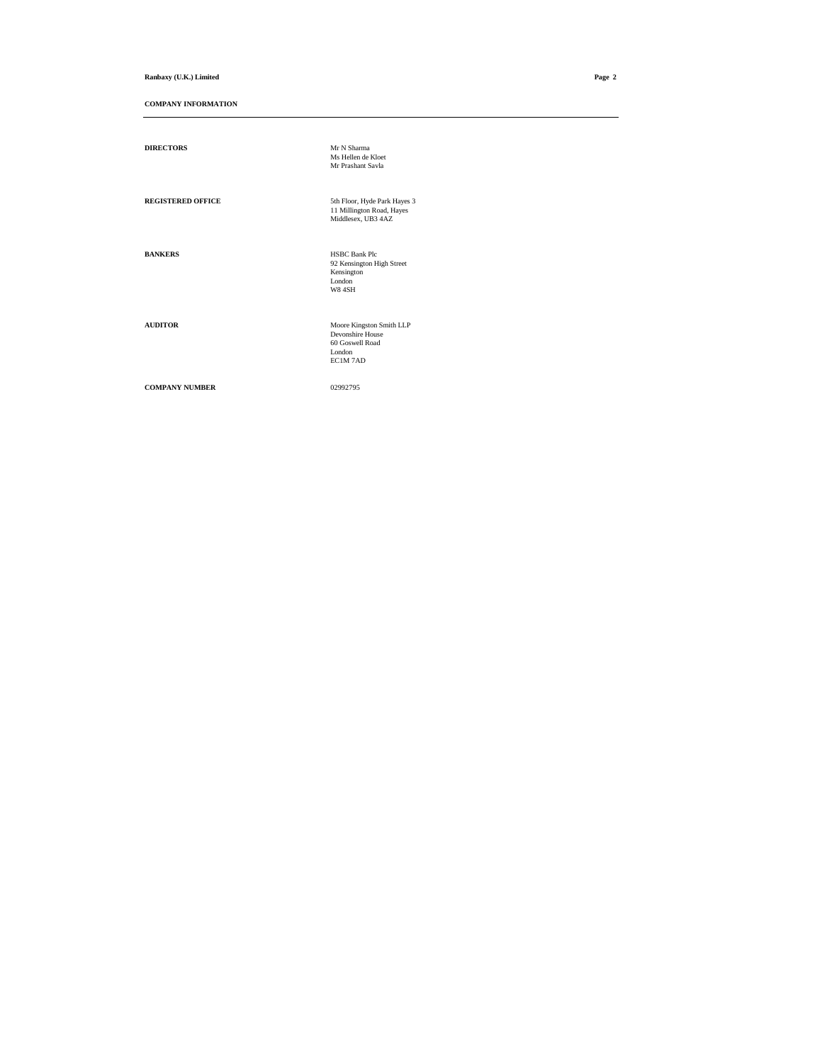**COMPANY INFORMATION**

| <b>DIRECTORS</b>         | Mr N Sharma<br>Ms Hellen de Kloet<br>Mr Prashant Savla                                     |
|--------------------------|--------------------------------------------------------------------------------------------|
| <b>REGISTERED OFFICE</b> | 5th Floor, Hyde Park Hayes 3<br>11 Millington Road, Hayes<br>Middlesex, UB3 4AZ            |
| <b>BANKERS</b>           | <b>HSBC Bank Plc</b><br>92 Kensington High Street<br>Kensington<br>London<br><b>W8 4SH</b> |
| <b>AUDITOR</b>           | Moore Kingston Smith LLP<br>Devonshire House<br>60 Goswell Road<br>London<br>EC1M7AD       |

**COMPANY NUMBER** 02992795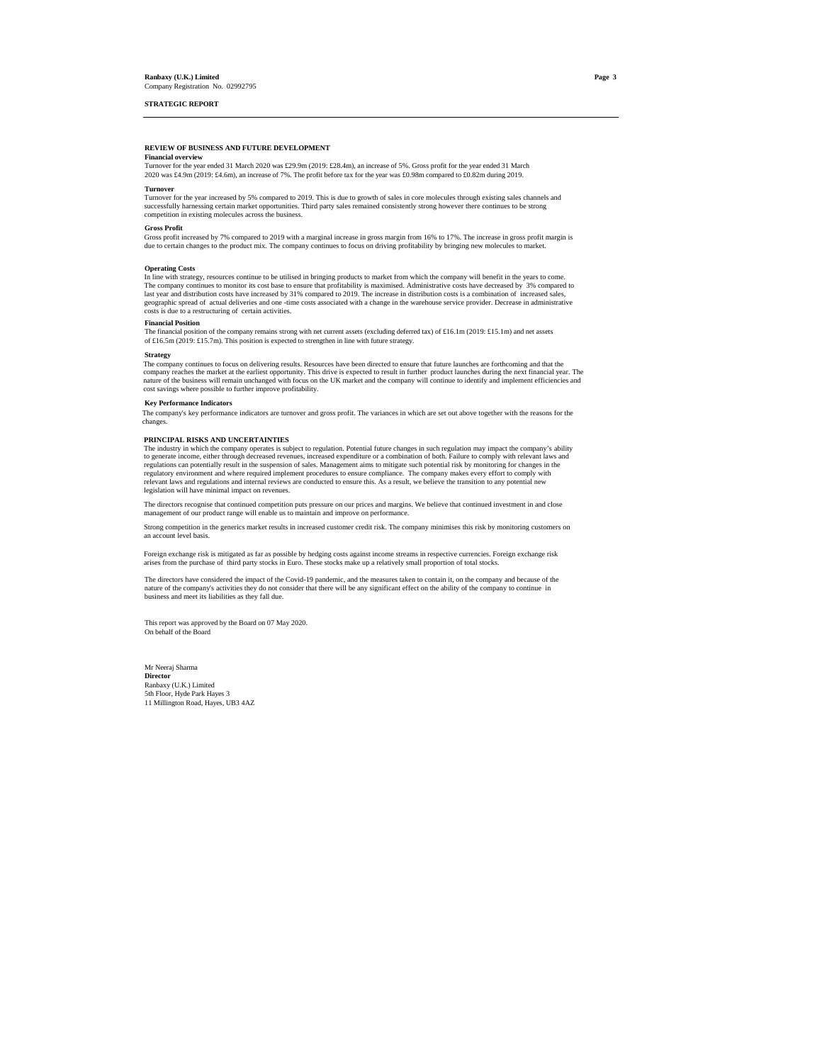# **STRATEGIC REPORT**

# **REVIEW OF BUSINESS AND FUTURE DEVELOPMENT**

#### **Financial overview**

Turnover for the year ended 31 March 2020 was £29.9m (2019: £28.4m), an increase of 5%. Gross profit for the year ended 31 March<br>2020 was £4.9m (2019: £4.6m), an increase of 7%. The profit before tax for the year was £0.98

## **Turnover**

Turnover for the year increased by 5% compared to 2019. This is due to growth of sales in core molecules through existing sales channels and<br>successfully harnessing certain market opportunities. Third party sales remained competition in existing molecules across the business.

### **Gross Profit**

Gross profit increased by 7% compared to 2019 with a marginal increase in gross margin from 16% to 17%. The increase in gross profit margin is due to certain changes to the product mix. The company continues to focus on driving profitability by bringing new molecules to market.

#### **Operating Costs**

In line with strategy, resources continue to be utilised in bringing products to market from which the company will benefit in the years to come. The company continues to monitor its cost base to ensure that profitability is maximised. Administrative costs have decreased by 3% compared to<br>last year and distribution costs have increased by 31% compared to 2019. The i costs is due to a restructuring of certain activities.

### **Financial Position**

The financial position of the company remains strong with net current assets (excluding deferred tax) of £16.1m (2019: £15.1m) and net assets of £16.5m (2019: £15.7m). This position is expected to strengthen in line with future strategy.

#### **Strategy**

The company continues to focus on delivering results. Resources have been directed to ensure that future launches are forthcoming and that the<br>company reaches the market at the earliest opportunity. This drive is expected nature of the business will remain unchanged with focus on the UK market and the company will continue to identify and implement efficiencies and cost savings where possible to further improve profitability.

#### **Key Performance Indicators**

The company's key performance indicators are turnover and gross profit. The variances in which are set out above together with the reasons for the changes.

## **PRINCIPAL RISKS AND UNCERTAINTIES**

The industry in which the company operates is subject to regulation. Potential future changes in such regulation may impact the company's ability<br>to generate income, either through decreased revenues, increased expenditure regulatory environment and where required implement procedures to ensure compliance. The company makes every effort to comply with<br>relevant laws and regulations and internal reviews are conducted to ensure this. As a resul legislation will have minimal impact on revenues.

The directors recognise that continued competition puts pressure on our prices and margins. We believe that continued investment in and close<br>management of our product range will enable us to maintain and improve on perfor

Strong competition in the generics market results in increased customer credit risk. The company minimises this risk by monitoring customers on an account level basis.

Foreign exchange risk is mitigated as far as possible by hedging costs against income streams in respective currencies. Foreign exchange risk<br>arises from the purchase of third party stocks in Euro. These stocks make up a r

The directors have considered the impact of the Covid-19 pandemic, and the measures taken to contain it, on the company and because of the<br>nature of the company's activities they do not consider that there will be any sign

This report was approved by the Board on 07 May 2020. On behalf of the Board

Mr Neeraj Sharma **Director** Ranbaxy (U.K.) Limited 5th Floor, Hyde Park Hayes 3 11 Millington Road, Hayes, UB3 4AZ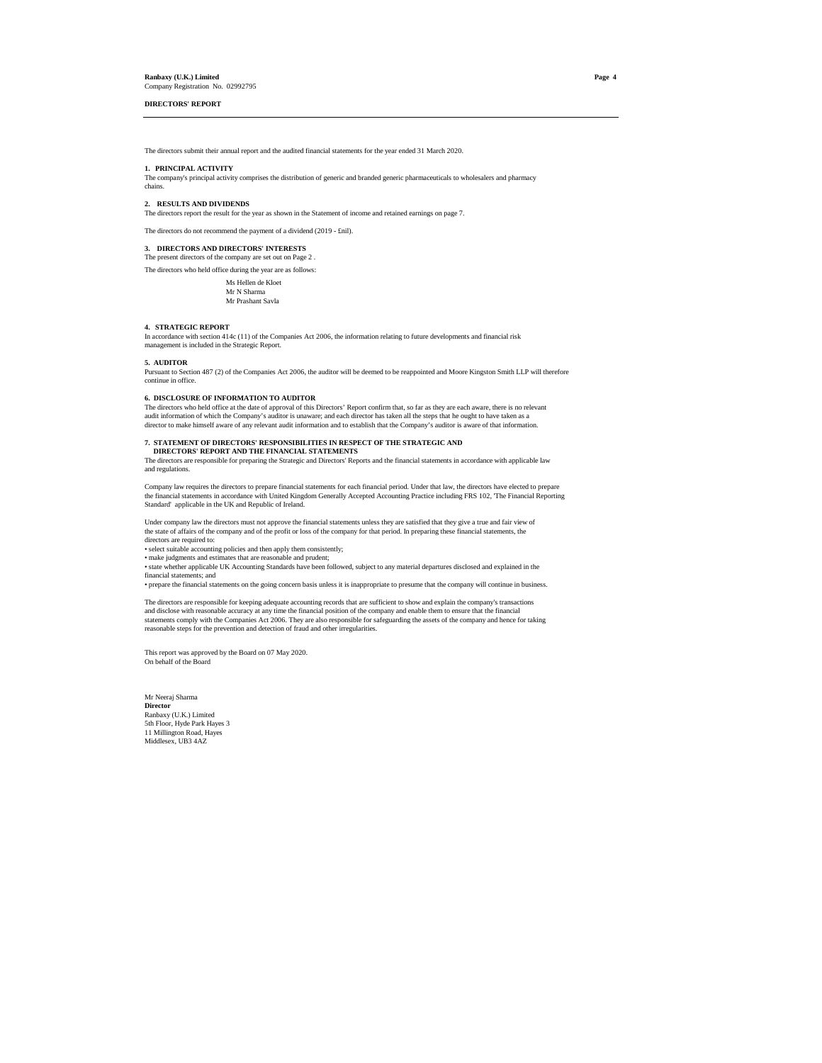# **DIRECTORS' REPORT**

The directors submit their annual report and the audited financial statements for the year ended 31 March 2020.

### **1. PRINCIPAL ACTIVITY**

The company's principal activity comprises the distribution of generic and branded generic pharmaceuticals to wholesalers and pharmacy chains.

#### **2. RESULTS AND DIVIDENDS**

The directors report the result for the year as shown in the Statement of income and retained earnings on page 7.

The directors do not recommend the payment of a dividend (2019 - £nil).

### **3. DIRECTORS AND DIRECTORS' INTERESTS**

The present directors of the company are set out on Page 2 .

The directors who held office during the year are as follows:

Ms Hellen de Kloet Mr N Sharma Mr Prashant Savla

#### **4. STRATEGIC REPORT**

In accordance with section 414c (11) of the Companies Act 2006, the information relating to future developments and financial risk management is included in the Strategic Report.

#### **5. AUDITOR**

Pursuant to Section 487 (2) of the Companies Act 2006, the auditor will be deemed to be reappointed and Moore Kingston Smith LLP will therefore continue in office.

### **6. DISCLOSURE OF INFORMATION TO AUDITOR**

The directors who held office at the date of approval of this Directors' Report confirm that, so far as they are each aware, there is no relevant audit information of which the Company's auditor is unaware; and each director has taken all the steps that he ought to have taken as a<br>director to make himself aware of any relevant audit information and to establish that

#### **7. STATEMENT OF DIRECTORS' RESPONSIBILITIES IN RESPECT OF THE STRATEGIC AND DIRECTORS' REPORT AND THE FINANCIAL STATEMENTS**

The directors are responsible for preparing the Strategic and Directors' Reports and the financial statements in accordance with applicable law

and regulations.

Company law requires the directors to prepare financial statements for each financial period. Under that law, the directors have elected to prepare the financial statements in accordance with United Kingdom Generally Accepted Accounting Practice including FRS 102, 'The Financial Reporting Standard' applicable in the UK and Republic of Ireland.

Under company law the directors must not approve the financial statements unless they are satisfied that they give a true and fair view of<br>the state of affairs of the company and of the profit or loss of the company for th directors are required to:

• select suitable accounting policies and then apply them consistently;

• make judgments and estimates that are reasonable and prudent;

• state whether applicable UK Accounting Standards have been followed, subject to any material departures disclosed and explained in the financial statements; and

• prepare the financial statements on the going concern basis unless it is inappropriate to presume that the company will continue in business.

The directors are responsible for keeping adequate accounting records that are sufficient to show and explain the company's transactions and disclose with reasonable accuracy at any time the financial position of the company and enable them to ensure that the financial<br>statements comply with the Companies Act 2006. They are also responsible for safeguarding reasonable steps for the prevention and detection of fraud and other irregularities.

This report was approved by the Board on 07 May 2020. On behalf of the Board

Mr Neeraj Sharma **Director** Ranbaxy (U.K.) Limited 5th Floor, Hyde Park Hayes 3 11 Millington Road, Hayes Middlesex, UB3 4AZ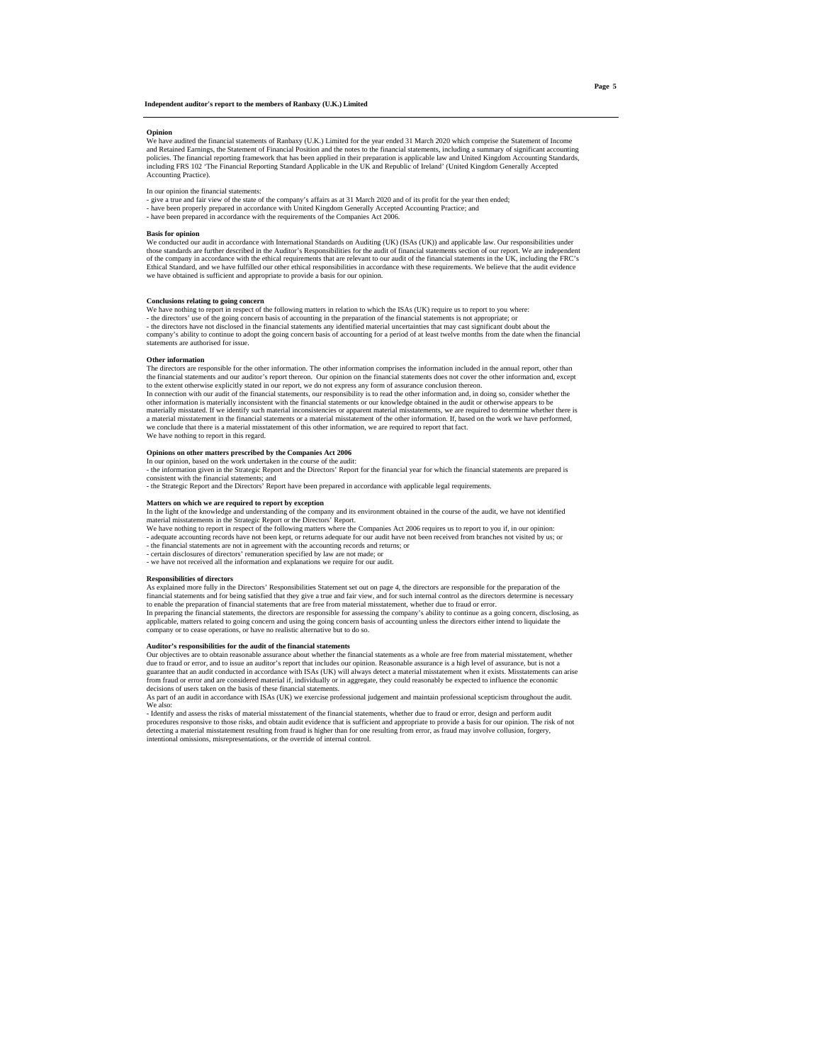#### **Opinion**

We have audited the financial statements of Ranbaxy (U.K.) Limited for the year ended 31 March 2020 which comprise the Statement of Income and Retained Earnings, the Statement of Financial Position and the notes to the financial statements, including a summary of significant accounting<br>policies. The financial reporting framework that has been applied in their Accounting Practice).

#### In our opinion the financial statements:

- give a true and fair view of the state of the company's affairs as at 31 March 2020 and of its profit for the year then ended; - have been properly prepared in accordance with United Kingdom Generally Accepted Accounting Practice; and - have been prepared in accordance with the requirements of the Companies Act 2006.

#### **Basis for opini**

We conducted our audit in accordance with International Standards on Auditing (UK) (ISAs (UK)) and applicable law. Our responsibilities under those standards are further described in the Auditor's Responsibilities for the audit of financial statements section of our report. We are independent<br>of the company in accordance with the ethical requirements that are re Ethical Standard, and we have fulfilled our other ethical responsibilities in accordance with these requirements. We believe that the audit evidence we have obtained is sufficient and appropriate to provide a basis for our opinion.

# **Conclusions relating to going concern**

We have nothing to report in respect of the following matters in relation to which the ISAs (UK) require us to report to you where:<br>- the directors' use of the going concern basis of accounting in the preparation of the fi company's ability to continue to adopt the going concern basis of accounting for a period of at least twelve months from the date when the financial statements are authorised for issue.

#### **Other information**

The directors are responsible for the other information. The other information comprises the information included in the annual report, other than the financial statements and our auditor's report thereon. Our opinion on the financial statements does not cover the other information and, except<br>to the extent otherwise explicitly stated in our report, we do not express

other information is materially inconsistent with the financial statements or our knowledge obtained in the audit or otherwise appears to be<br>materially misstated. If we identify such material inconsistencies or apparent ma we conclude that there is a material misstatement of this other information, we are required to report that fact.

We have nothing to report in this regard.

**Opinions on other matters prescribed by the Companies Act 2006**<br>In our opinion, based on the work undertaken in the course of the audit:<br>- the information given in the Strategic Report and the Directors' Report for the fi

- the Strategic Report and the Directors' Report have been prepared in accordance with applicable legal requirements.

#### **Matters on which we are required to report by exception**

In the light of the knowledge and understanding of the company and its environment obtained in the course of the audit, we have not identified<br>material misstatements in the Strategic Report or the Directors' Report.<br>We hav

- adequate accounting records have not been kept, or returns adequate for our audit have not been received from branches not visited by us; or<br>- the financial statements are not in agreement with the accounting records and

- certain disclosures of directors' remuneration specified by law are not made; or

- we have not received all the information and explanations we require for our audit.

### **Responsibilities of directors**

As explained more fully in the Directors' Responsibilities Statement set out on page 4, the directors are responsible for the preparation of the financial statements and for being satisfied that they give a true and fair view, and for such internal control as the directors determine is necessary to enable the preparation of financial statements that are free from material misstatement, whether due to fraud or error.<br>In preparing the financial statements, the directors are responsible for assessing the company's ab applicable, matters related to going concern and using the going concern basis of accounting unless the directors either intend to liquidate the company or to cease operations, or have no realistic alternative but to do so.

#### **Auditor's responsibilities for the audit of the financial statements**

Our objectives are to obtain reasonable assurance about whether the financial statements as a whole are free from material misstatement, whether due to fraud or error, and to issue an auditor's report that includes our opi due to fraud or error, and to issue an auditor's report that includes our opinion. Reasonable assurance is a high level of assurance, but is not a<br>guarantee that an audit conducted in accordance with ISAs (UK) will always

decisions of users taken on the basis of these financial statements. As part of an audit in accordance with ISAs (UK) we exercise professional judgement and maintain professional scepticism throughout the audit. We also:

- Identify and assess the risks of material misstatement of the financial statements, whether due to fraud or error, design and perform audit procedures responsive to those risks, and obtain audit evidence that is sufficie procedures responsive to those risks, and obtain audit evidence that is sufficient and appropriate to provide a basis for our opinion. The risk of not<br>detecting a material misstatement resulting from fraud is higher than f intentional omissions, misrepresentations, or the override of internal control.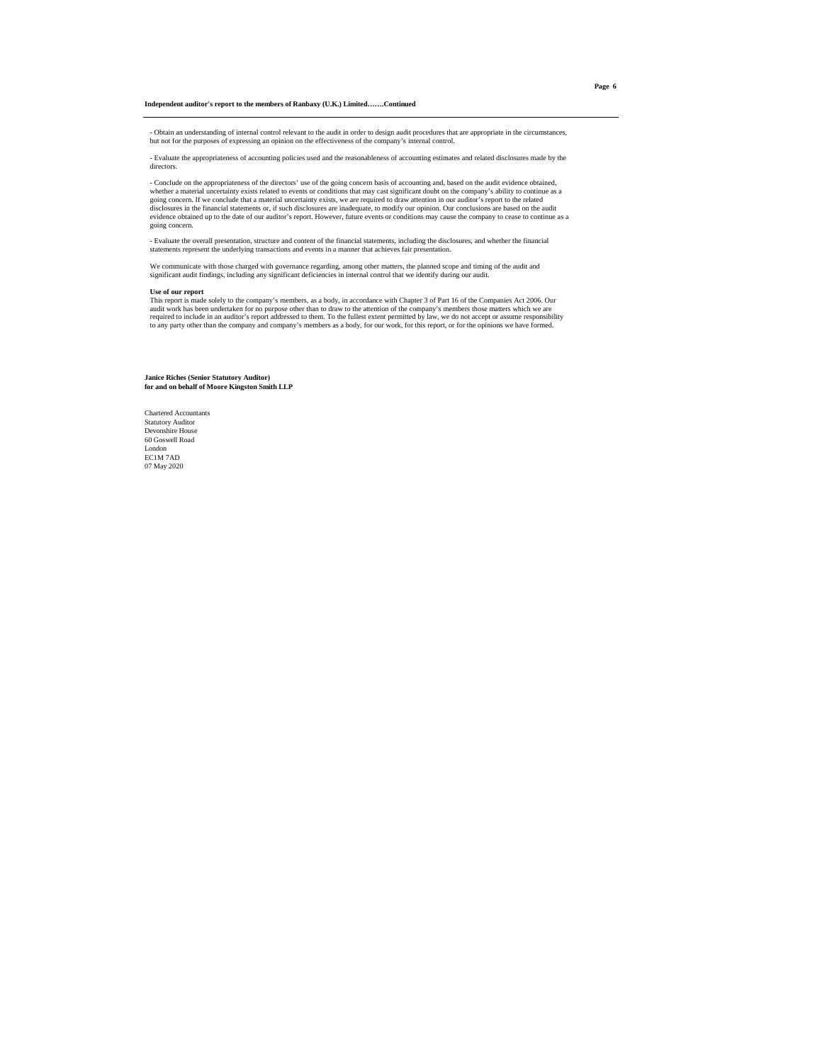- Obtain an understanding of internal control relevant to the audit in order to design audit procedures that are appropriate in the circumstances, but not for the purposes of expressing an opinion on the effectiveness of the company's internal control.

- Evaluate the appropriateness of accounting policies used and the reasonableness of accounting estimates and related disclosures made by the directors.

- Conclude on the appropriateness of the directors' use of the going concern basis of accounting and, based on the audit evidence obtained,<br>whether a material uncertainty exists related to events or conditions that may cas going concern.

- Evaluate the overall presentation, structure and content of the financial statements, including the disclosures, and whether the financial<br>statements represent the underlying transactions and events in a manner that achi

We communicate with those charged with governance regarding, among other matters, the planned scope and timing of the audit and significant audit findings, including any significant deficiencies in internal control that we identify during our audit.

#### **Use of our report**

This report is made solely to the company's members, as a body, in accordance with Chapter 3 of Part 16 of the Companies Act 2006. Our<br>audit work has been undertaken for no purpose other than to draw to the attention of th to any party other than the company and company's members as a body, for our work, for this report, or for the opinions we have formed.

# **Janice Riches (Senior Statutory Auditor) for and on behalf of Moore Kingston Smith LLP**

Chartered Accountants Statutory Auditor Devonshire House 60 Goswell Road London EC1M 7AD 07 May 2020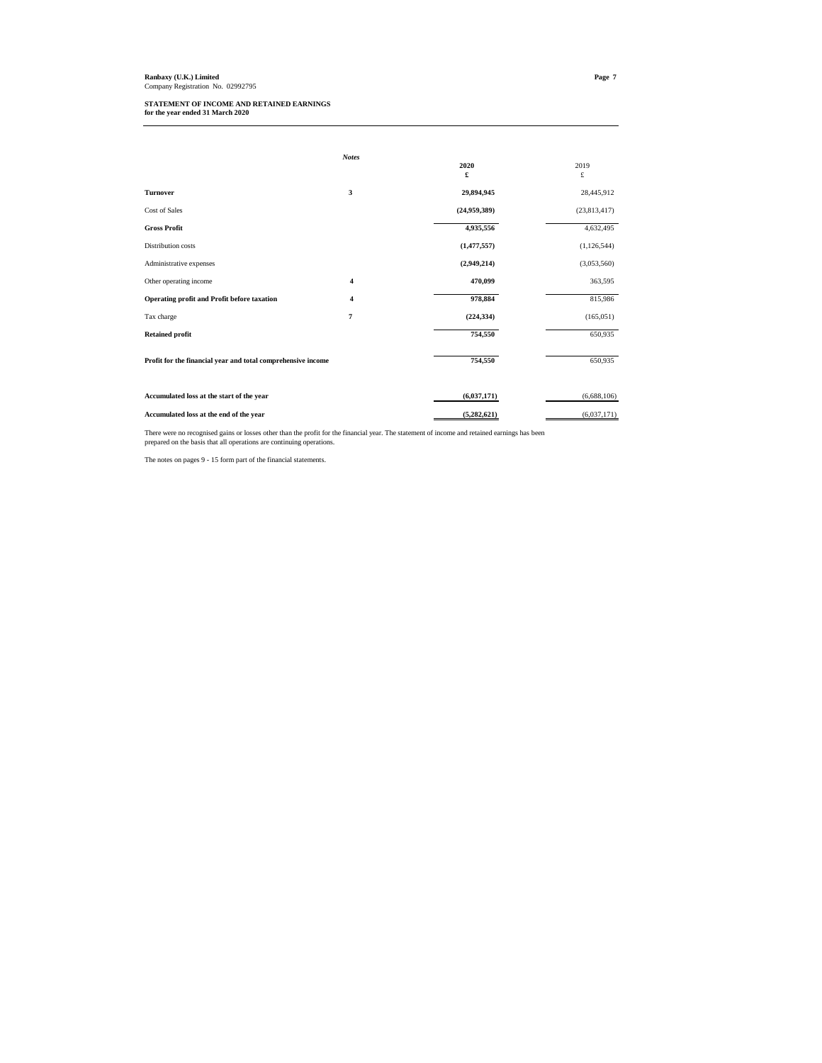# **Ranbaxy (U.K.) Limited Page 7** Company Registration No. 02992795

# **STATEMENT OF INCOME AND RETAINED EARNINGS for the year ended 31 March 2020**

|                                                              | <b>Notes</b>   |              |              |
|--------------------------------------------------------------|----------------|--------------|--------------|
|                                                              |                | 2020         | 2019         |
|                                                              |                | £            | £            |
| <b>Turnover</b>                                              | 3              | 29,894,945   | 28,445,912   |
| Cost of Sales                                                |                | (24,959,389) | (23,813,417) |
| <b>Gross Profit</b>                                          |                | 4,935,556    | 4,632,495    |
| Distribution costs                                           |                | (1,477,557)  | (1,126,544)  |
| Administrative expenses                                      |                | (2,949,214)  | (3,053,560)  |
| Other operating income                                       | $\overline{4}$ | 470,099      | 363,595      |
| Operating profit and Profit before taxation                  | 4              | 978,884      | 815,986      |
| Tax charge                                                   | 7              | (224, 334)   | (165, 051)   |
| <b>Retained profit</b>                                       |                | 754,550      | 650,935      |
| Profit for the financial year and total comprehensive income |                | 754,550      | 650,935      |
| Accumulated loss at the start of the year                    |                | (6,037,171)  | (6,688,106)  |
| Accumulated loss at the end of the year                      |                | (5,282,621)  | (6,037,171)  |

There were no recognised gains or losses other than the profit for the financial year. The statement of income and retained earnings has been prepared on the basis that all operations are continuing operations.

The notes on pages 9 - 15 form part of the financial statements.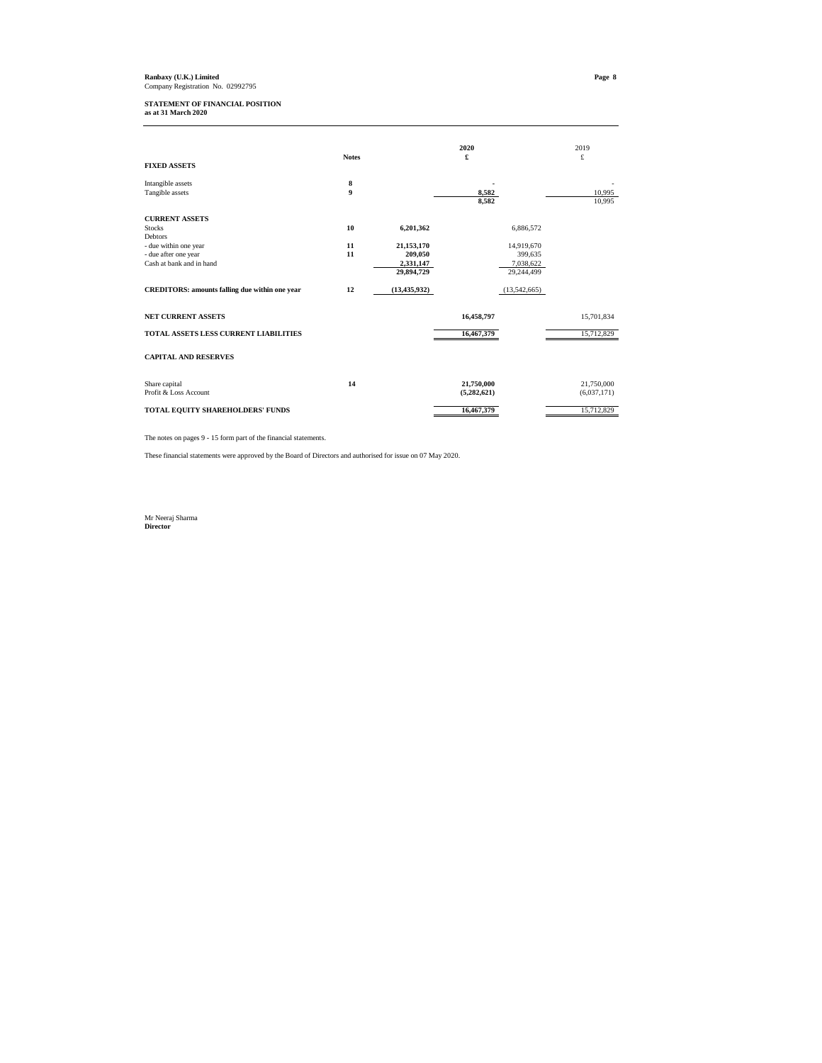# **Ranbaxy (U.K.) Limited Page 8** Company Registration No. 02992795

# **STATEMENT OF FINANCIAL POSITION as at 31 March 2020**

| <b>FIXED ASSETS</b>                                                                                                            | <b>Notes</b>          |                                                               | 2020<br>£                                                     | 2019<br>£                 |
|--------------------------------------------------------------------------------------------------------------------------------|-----------------------|---------------------------------------------------------------|---------------------------------------------------------------|---------------------------|
| Intangible assets<br>Tangible assets                                                                                           | 8<br>$\boldsymbol{9}$ |                                                               | 8,582<br>8,582                                                | 10,995<br>10.995          |
| <b>CURRENT ASSETS</b><br><b>Stocks</b><br>Debtors<br>- due within one year<br>- due after one year<br>Cash at bank and in hand | 10<br>11<br>11        | 6,201,362<br>21,153,170<br>209.050<br>2,331,147<br>29,894,729 | 6,886,572<br>14,919,670<br>399,635<br>7,038,622<br>29,244,499 |                           |
| <b>CREDITORS:</b> amounts falling due within one year                                                                          | 12                    | (13, 435, 932)                                                | (13,542,665)                                                  |                           |
| <b>NET CURRENT ASSETS</b><br><b>TOTAL ASSETS LESS CURRENT LIABILITIES</b>                                                      |                       |                                                               | 16,458,797<br>16,467,379                                      | 15,701,834<br>15,712,829  |
| <b>CAPITAL AND RESERVES</b>                                                                                                    |                       |                                                               |                                                               |                           |
| Share capital<br>Profit & Loss Account                                                                                         | 14                    |                                                               | 21,750,000<br>(5,282,621)                                     | 21,750,000<br>(6,037,171) |
| TOTAL EQUITY SHAREHOLDERS' FUNDS                                                                                               |                       |                                                               | 16,467,379                                                    | 15,712,829                |

The notes on pages 9 - 15 form part of the financial statements.

These financial statements were approved by the Board of Directors and authorised for issue on 07 May 2020.

Mr Neeraj Sharma **Director**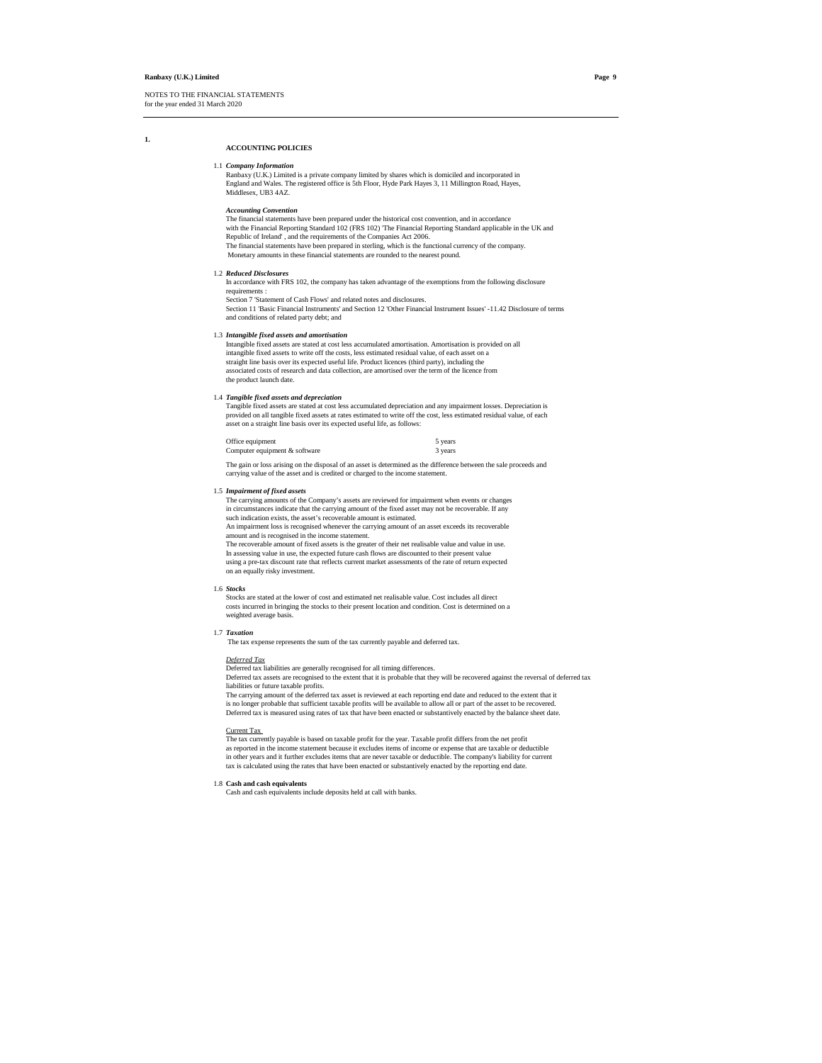NOTES TO THE FINANCIAL STATEMENTS for the year ended 31 March 2020

**1.**

# **ACCOUNTING POLICIES**

1.1 *Company Information*  Ranbaxy (U.K.) Limited is a private company limited by shares which is domiciled and incorporated in England and Wales. The registered office is 5th Floor, Hyde Park Hayes 3, 11 Millington Road, Hayes, Middlesex, UB3 4AZ.

#### *Accounting Convention*

The financial statements have been prepared under the historical cost convention, and in accordance with the Financial Reporting Standard 102 (FRS 102) 'The Financial Reporting Standard applicable in the UK and Republic of Ireland' , and the requirements of the Companies Act 2006. The financial statements have been prepared in sterling, which is the functional currency of the company. Monetary amounts in these financial statements are rounded to the nearest pound.

# 1.2 *Reduced Disclosures*

In accordance with FRS 102, the company has taken advantage of the exemptions from the following disclosure requirements :

Section 7 'Statement of Cash Flows' and related notes and disclosures. Section 11 'Basic Financial Instruments' and Section 12 'Other Financial Instrument Issues' -11.42 Disclosure of terms and conditions of related party debt; and

#### 1.3 *Intangible fixed assets and amortisation*

Intangible fixed assets are stated at cost less accumulated amortisation. Amortisation is provided on all intangible fixed assets to write off the costs, less estimated residual value, of each asset on a straight line basis over its expected useful life. Product licences (third party), including the straight line basis over its expected useful life. Product licences (third party), including the associated costs of research and data collection, are amortised over the term of the licence from the product launch date.

# 1.4 *Tangible fixed assets and depreciation*

Tangible fixed assets are stated at cost less accumulated depreciation and any impairment losses. Depreciation is<br>provided on all tangible fixed assets at rates estimated to write off the cost, less estimated residual valu asset on a straight line basis over its expected useful life, as follows:

| Office equipment              | 5 years |
|-------------------------------|---------|
| Computer equipment & software | 3 years |

The gain or loss arising on the disposal of an asset is determined as the difference between the sale proceeds and carrying value of the asset and is credited or charged to the income statement.

#### 1.5 *Impairment of fixed assets*

The carrying amounts of the Company's assets are reviewed for impairment when events or changes in circumstances indicate that the carrying amount of the fixed asset may not be recoverable. If any such indication exists, the asset's recoverable amount is estimated.

An impairment loss is recognised whenever the carrying amount of an asset exceeds its recoverable amount and is recognised in the income statement. The recoverable amount of fixed assets is the greater of their net realisable value and value in use.

In assessing value in use, the expected future cash flows are discounted to their present value using a pre-tax discount rate that reflects current market assessments of the rate of return expected on an equally risky investment.

### 1.6 *Stocks*

Stocks are stated at the lower of cost and estimated net realisable value. Cost includes all direct costs incurred in bringing the stocks to their present location and condition. Cost is determined on a weighted average basi

1.7 *Taxation*

The tax expense represents the sum of the tax currently payable and deferred tax.

#### *Deferred Tax*

Deferred tax liabilities are generally recognised for all timing differences. Deferred tax assets are recognised to the extent that it is probable that they will be recovered against the reversal of deferred tax liabilities or future taxable profits.

The carrying amount of the deferred tax asset is reviewed at each reporting end date and reduced to the extent that it

is no longer probable that sufficient taxable profits will be available to allow all or part of the asset to be recovered.<br>Deferred tax is measured using rates of tax that have been enacted or substantively enacted by the

#### Current Tax

The tax currently payable is based on taxable profit for the year. Taxable profit differs from the net profit as reported in the income statement because it excludes items of income or expense that are taxable or deductible<br>in other years and it further excludes items that are never taxable or deductible. The company's liability f

# 1.8 **Cash and cash equivalents**

Cash and cash equivalents include deposits held at call with banks.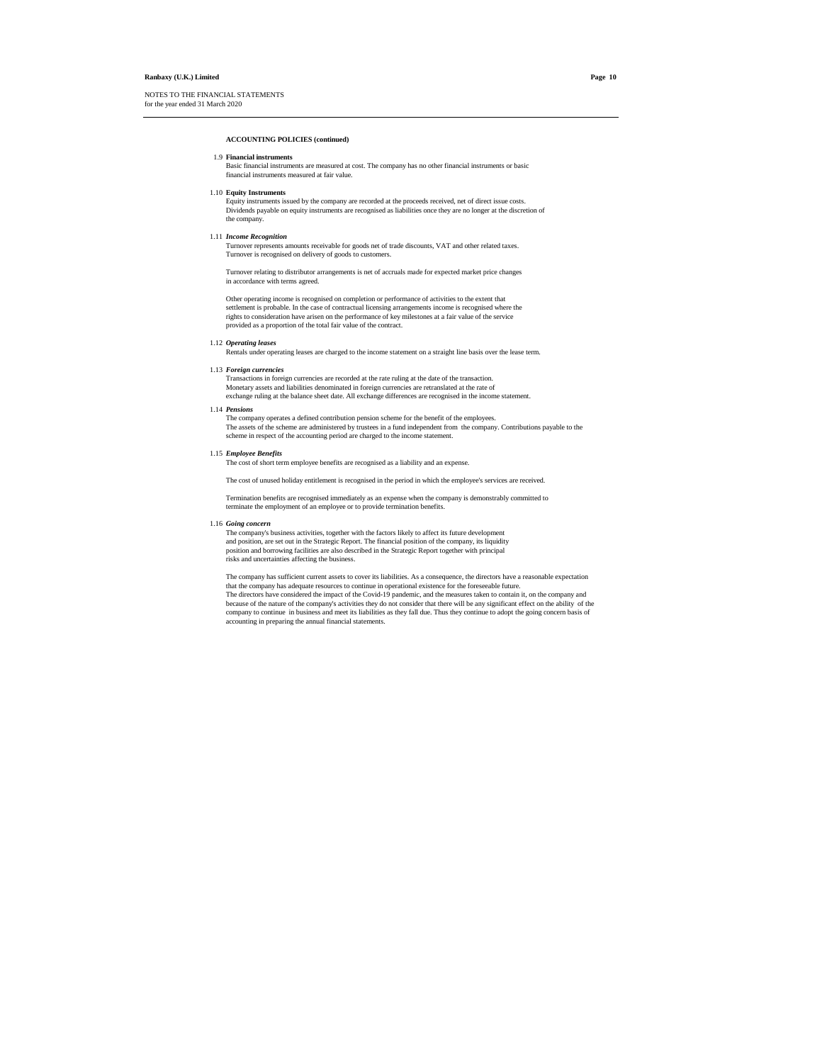NOTES TO THE FINANCIAL STATEMENTS for the year ended 31 March 2020

# **ACCOUNTING POLICIES (continued)**

#### 1.9 **Financial instruments**

Basic financial instruments are measured at cost. The company has no other financial instruments or basic financial instruments measured at fair value.

#### 1.10 **Equity Instruments**

Equity instruments issued by the company are recorded at the proceeds received, net of direct issue costs. Dividends payable on equity instruments are recognised as liabilities once they are no longer at the discretion of the company.

# 1.11 *Income Recognition*

Turnover represents amounts receivable for goods net of trade discounts, VAT and other related taxes. Turnover is recognised on delivery of goods to customers.

Turnover relating to distributor arrangements is net of accruals made for expected market price changes in accordance with terms agreed.

Other operating income is recognised on completion or performance of activities to the extent that<br>settlement is probable. In the case of contractual licensing arrangements income is recognised where the<br>rights to consider provided as a proportion of the total fair value of the contract.

1.12 *Operating leases* Rentals under operating leases are charged to the income statement on a straight line basis over the lease term.

#### 1.13 *Foreign currencies*

Transactions in foreign currencies are recorded at the rate ruling at the date of the transaction. Monetary assets and liabilities denominated in foreign currencies are retranslated at the rate of exchange ruling at the balance sheet date. All exchange differences are recognised in the income statement.

#### 1.14 *Pensions*

The company operates a defined contribution pension scheme for the benefit of the employees. The assets of the scheme are administered by trustees in a fund independent from the company. Contributions payable to the scheme in respect of the accounting period are charged to the income statement.

### 1.15 *Employee Benefits*

The cost of short term employee benefits are recognised as a liability and an expense.

The cost of unused holiday entitlement is recognised in the period in which the employee's services are received.

Termination benefits are recognised immediately as an expense when the company is demonstrably committed to terminate the employment of an employee or to provide termination benefits.

# 1.16 *Going concern*

The company's business activities, together with the factors likely to affect its future development and position, are set out in the Strategic Report. The financial position of the company, its liquidity position and borrowing facilities are also described in the Strategic Report together with principal risks and uncertainties affecting the business.

The company has sufficient current assets to cover its liabilities. As a consequence, the directors have a reasonable expectation that the company has adequate resources to continue in operational existence for the foreseeable future.<br>The directors have considered the impact of the Covid-19 pandemic, and the measures taken to contain it, on the compa company to continue in business and meet its liabilities as they fall due. Thus they continue to adopt the going concern basis of accounting in preparing the annual financial statements.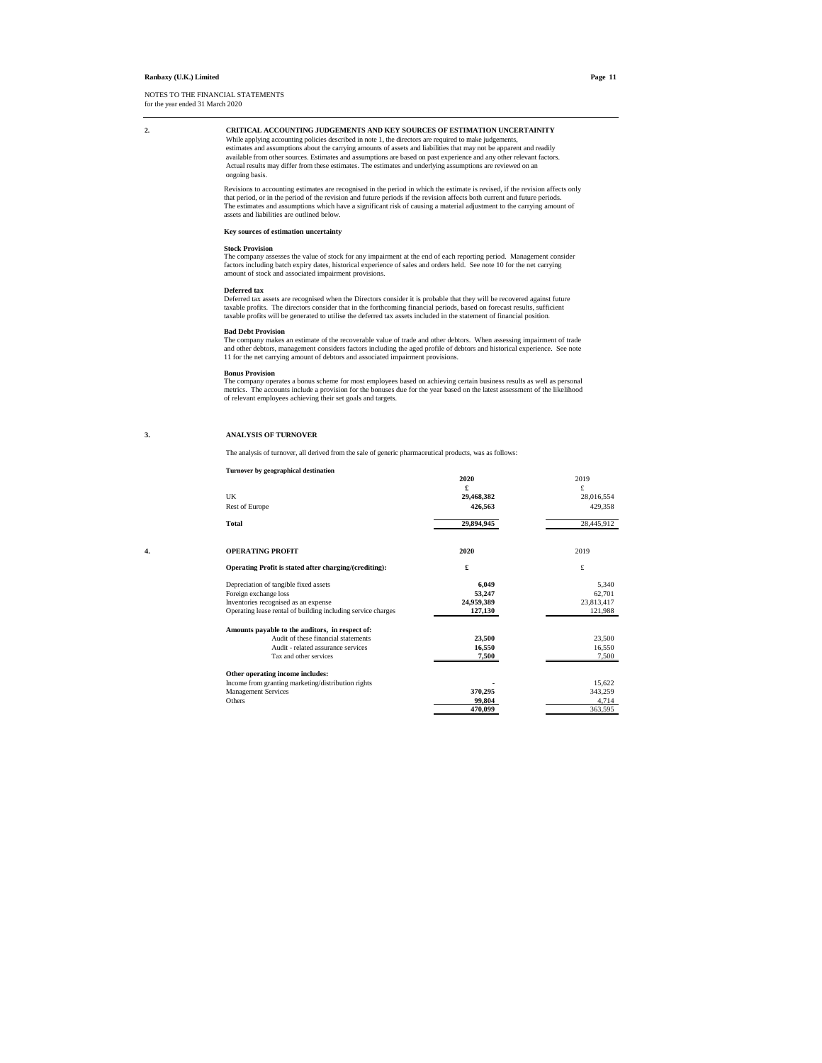NOTES TO THE FINANCIAL STATEMENTS for the year ended 31 March 2020

# **2. CRITICAL ACCOUNTING JUDGEMENTS AND KEY SOURCES OF ESTIMATION UNCERTAINITY**

While applying accounting policies described in note 1, the directors are required to make judgements, estimates and assumptions about the carrying amounts of assets and liabilities that may not be apparent and readily available from other sources. Estimates and assumptions are based on past experience and any other relevant factors.<br>Actual results may differ from these estimates. The estimates and underlying assumptions are reviewed on ongoing basis.

Revisions to accounting estimates are recognised in the period in which the estimate is revised, if the revision affects only<br>that period, or in the period of the revision and future periods if the revision affects both cu assets and liabilities are outlined below.

**Key sources of estimation uncertainty**

### **Stock Provision**

The company assesses the value of stock for any impairment at the end of each reporting period. Management consider<br>factors including batch expiry dates, historical experience of sales and orders held. See note 10 for the

# **Deferred tax**

Deferred tax assets are recognised when the Directors consider it is probable that they will be recovered against future taxable profits. The directors consider that in the forthcoming financial periods, based on forecast results, sufficient<br>taxable profits will be generated to utilise the deferred tax assets included in the statement of fin

## **Bad Debt Provision**

The company makes an estimate of the recoverable value of trade and other debtors. When assessing impairment of trade and other debtors, management considers factors including the aged profile of debtors and historical experience. See note 11 for the net carrying amount of debtors and associated impairment provisions.

# **Bonus Provision**

**Turnover by geographical destination**

The company operates a bonus scheme for most employees based on achieving certain business results as well as personal<br>metrics. The accounts include a provision for the bonuses due for the year based on the latest assessme

# **3. ANALYSIS OF TURNOVER**

The analysis of turnover, all derived from the sale of generic pharmaceutical products, was as follows:

| runnover by geographical acommunion<br>UK<br>Rest of Europe  | 2020<br>£<br>29,468,382<br>426,563 | 2019<br>£<br>28,016,554<br>429,358 |
|--------------------------------------------------------------|------------------------------------|------------------------------------|
| <b>Total</b>                                                 | 29,894,945                         | 28,445,912                         |
| <b>OPERATING PROFIT</b>                                      | 2020                               | 2019                               |
| Operating Profit is stated after charging/(crediting):       | £                                  | £                                  |
| Depreciation of tangible fixed assets                        | 6.049                              | 5,340                              |
| Foreign exchange loss                                        | 53,247                             | 62,701                             |
| Inventories recognised as an expense                         | 24,959,389                         | 23,813,417                         |
| Operating lease rental of building including service charges | 127,130                            | 121,988                            |
| Amounts payable to the auditors, in respect of:              |                                    |                                    |
| Audit of these financial statements                          | 23,500                             | 23,500                             |
| Audit - related assurance services                           | 16,550                             | 16,550                             |
| Tax and other services                                       | 7,500                              | 7,500                              |
| Other operating income includes:                             |                                    |                                    |
| Income from granting marketing/distribution rights           |                                    | 15,622                             |
| <b>Management Services</b>                                   | 370,295                            | 343,259                            |
| Others                                                       | 99,804                             | 4,714                              |
|                                                              | 470.099                            | 363,595                            |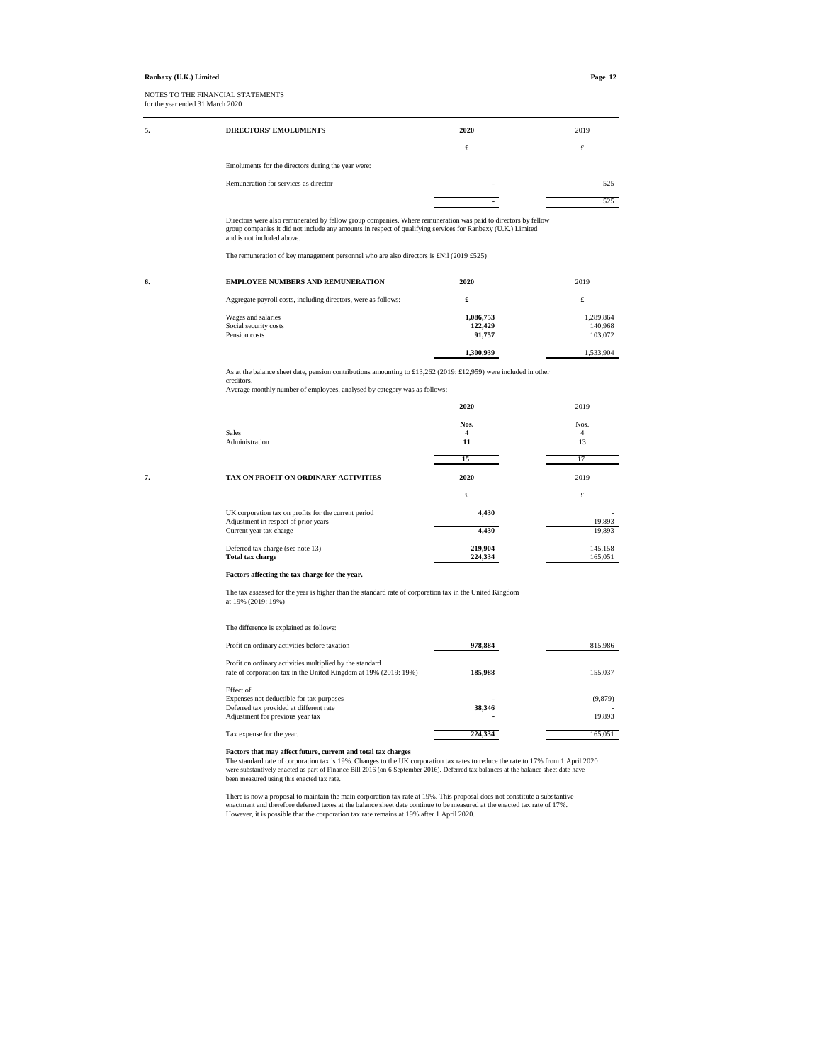NOTES TO THE FINANCIAL STATEMENTS for the year ended 31 March 2020

| 5. | <b>DIRECTORS' EMOLUMENTS</b>                                                                                                                                                                                                                               | 2020     | 2019          |     |
|----|------------------------------------------------------------------------------------------------------------------------------------------------------------------------------------------------------------------------------------------------------------|----------|---------------|-----|
|    |                                                                                                                                                                                                                                                            | £        | £             |     |
|    | Emoluments for the directors during the year were:                                                                                                                                                                                                         |          |               |     |
|    | Remuneration for services as director                                                                                                                                                                                                                      |          |               | 525 |
|    |                                                                                                                                                                                                                                                            |          |               | 525 |
|    | Directors were also remunerated by fellow group companies. Where remuneration was paid to directors by fellow<br>group companies it did not include any amounts in respect of qualifying services for Ranbaxy (U.K.) Limited<br>and is not included above. |          |               |     |
|    | The remuneration of key management personnel who are also directors is £Nil $(2019 \text{ £}525)$                                                                                                                                                          |          |               |     |
|    | THE FIRST CLASSIFIED ATTENTION OF A REPORTED FROM A CONTRACT OF THE CASE.                                                                                                                                                                                  | $\cdots$ | $\sim$ $\sim$ |     |

| 6. | <b>EMPLOYEE NUMBERS AND REMUNERATION</b>                       | 2020      | 2019      |
|----|----------------------------------------------------------------|-----------|-----------|
|    | Aggregate payroll costs, including directors, were as follows: |           | £         |
|    | Wages and salaries                                             | 1.086.753 | 1,289,864 |
|    | Social security costs                                          | 122,429   | 140,968   |
|    | Pension costs                                                  | 91.757    | 103,072   |
|    |                                                                | 1.300.939 | 1.533.904 |

As at the balance sheet date, pension contributions amounting to £13,262 (2019: £12,959) were included in other

creditors. Average monthly number of employees, analysed by category was as follows:

|    |                                                      | 2020    | 2019    |
|----|------------------------------------------------------|---------|---------|
|    |                                                      | Nos.    | Nos.    |
|    | <b>Sales</b>                                         | 4       | 4       |
|    | Administration                                       | 11      | 13      |
|    |                                                      | 15      | 17      |
| 7. | TAX ON PROFIT ON ORDINARY ACTIVITIES                 | 2020    | 2019    |
|    |                                                      | £       | £       |
|    | UK corporation tax on profits for the current period | 4,430   |         |
|    | Adjustment in respect of prior years                 |         | 19,893  |
|    | Current year tax charge                              | 4,430   | 19,893  |
|    | Deferred tax charge (see note 13)                    | 219,904 | 145,158 |
|    | <b>Total tax charge</b>                              | 224,334 | 165,051 |

# **Factors affecting the tax charge for the year.**

The tax assessed for the year is higher than the standard rate of corporation tax in the United Kingdom at 19% (2019: 19%)

# The difference is explained as follows:

| Profit on ordinary activities before taxation                                                                                         | 978.884                  | 815,986           |
|---------------------------------------------------------------------------------------------------------------------------------------|--------------------------|-------------------|
| Profit on ordinary activities multiplied by the standard<br>rate of corporation tax in the United Kingdom at 19% (2019: 19%)          | 185.988                  | 155,037           |
| Effect of:<br>Expenses not deductible for tax purposes<br>Deferred tax provided at different rate<br>Adjustment for previous year tax | $\blacksquare$<br>38.346 | (9,879)<br>19.893 |
| Tax expense for the year.                                                                                                             | 224.334                  | 165.051           |

# **Factors that may affect future, current and total tax charges**

The standard rate of corporation tax is 19%. Changes to the UK corporation tax rates to reduce the rate to 17% from 1 April 2020<br>were substantively enacted as part of Finance Bill 2016 (on 6 September 2016). Deferred tax b been measured using this enacted tax rate.

There is now a proposal to maintain the main corporation tax rate at 19%. This proposal does not constitute a substantive<br>enactment and therefore deferred taxes at the balance sheet date continue to be measured at the enac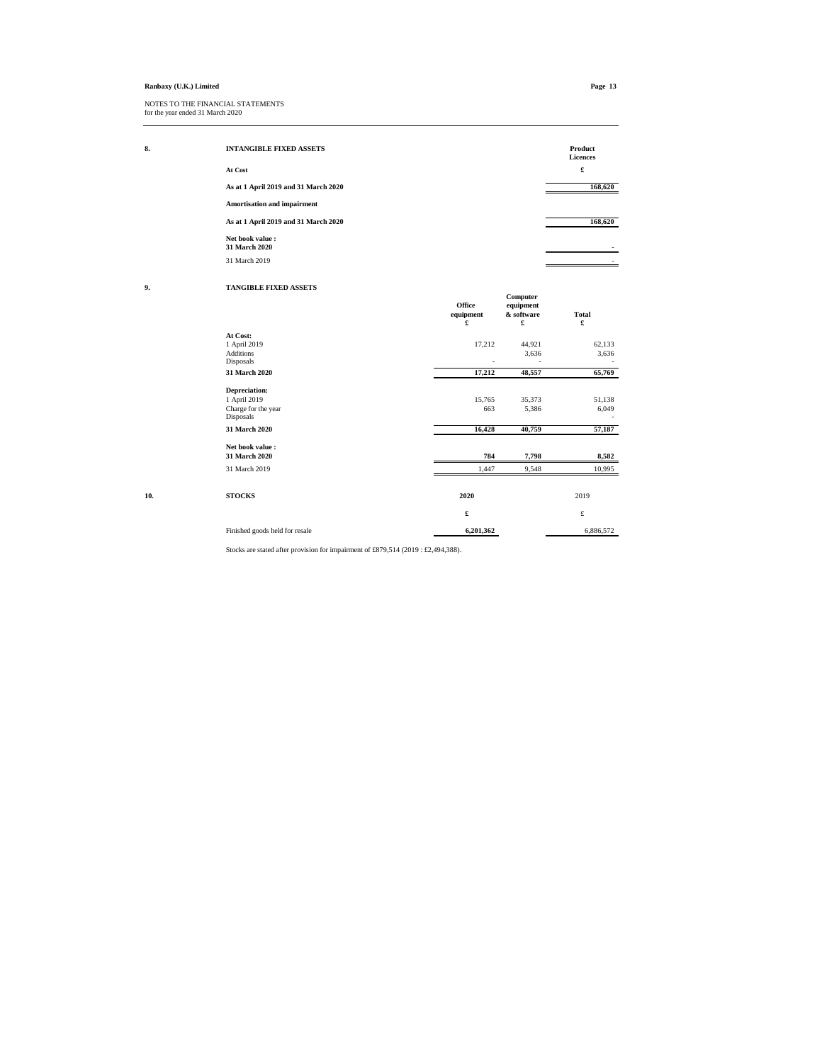NOTES TO THE FINANCIAL STATEMENTS for the year ended 31 March 2020

| 8. | <b>INTANGIBLE FIXED ASSETS</b>       | Product<br><b>Licences</b> |
|----|--------------------------------------|----------------------------|
|    | At Cost                              | £                          |
|    | As at 1 April 2019 and 31 March 2020 | 168,620                    |
|    | <b>Amortisation and impairment</b>   |                            |
|    | As at 1 April 2019 and 31 March 2020 | 168,620                    |
|    | Net book value:<br>31 March 2020     |                            |
|    | 31 March 2019                        |                            |

# **9. TANGIBLE FIXED ASSETS**

| ,,  | TATANIDEE LIVED WOOD TO          |                          |                                          |            |
|-----|----------------------------------|--------------------------|------------------------------------------|------------|
|     |                                  | Office<br>equipment<br>£ | Computer<br>equipment<br>& software<br>£ | Total<br>£ |
|     |                                  |                          |                                          |            |
|     | At Cost:                         |                          |                                          |            |
|     | 1 April 2019<br><b>Additions</b> | 17,212                   | 44,921                                   | 62,133     |
|     | Disposals                        | ٠                        | 3,636                                    | 3,636      |
|     |                                  |                          |                                          |            |
|     | 31 March 2020                    | 17,212                   | 48,557                                   | 65,769     |
|     | <b>Depreciation:</b>             |                          |                                          |            |
|     | 1 April 2019                     | 15,765                   | 35,373                                   | 51,138     |
|     | Charge for the year              | 663                      | 5,386                                    | 6,049      |
|     | Disposals                        |                          |                                          |            |
|     | 31 March 2020                    | 16,428                   | 40,759                                   | 57,187     |
|     |                                  |                          |                                          |            |
|     | Net book value:                  |                          |                                          |            |
|     | 31 March 2020                    | 784                      | 7,798                                    | 8,582      |
|     |                                  |                          |                                          |            |
|     | 31 March 2019                    | 1,447                    | 9,548                                    | 10,995     |
|     |                                  |                          |                                          |            |
| 10. | <b>STOCKS</b>                    | 2020                     |                                          | 2019       |
|     |                                  |                          |                                          |            |
|     |                                  | £                        |                                          | £          |
|     | Finished goods held for resale   | 6,201,362                |                                          | 6,886,572  |
|     |                                  |                          |                                          |            |
|     |                                  |                          |                                          |            |

Stocks are stated after provision for impairment of £879,514 (2019 : £2,494,388).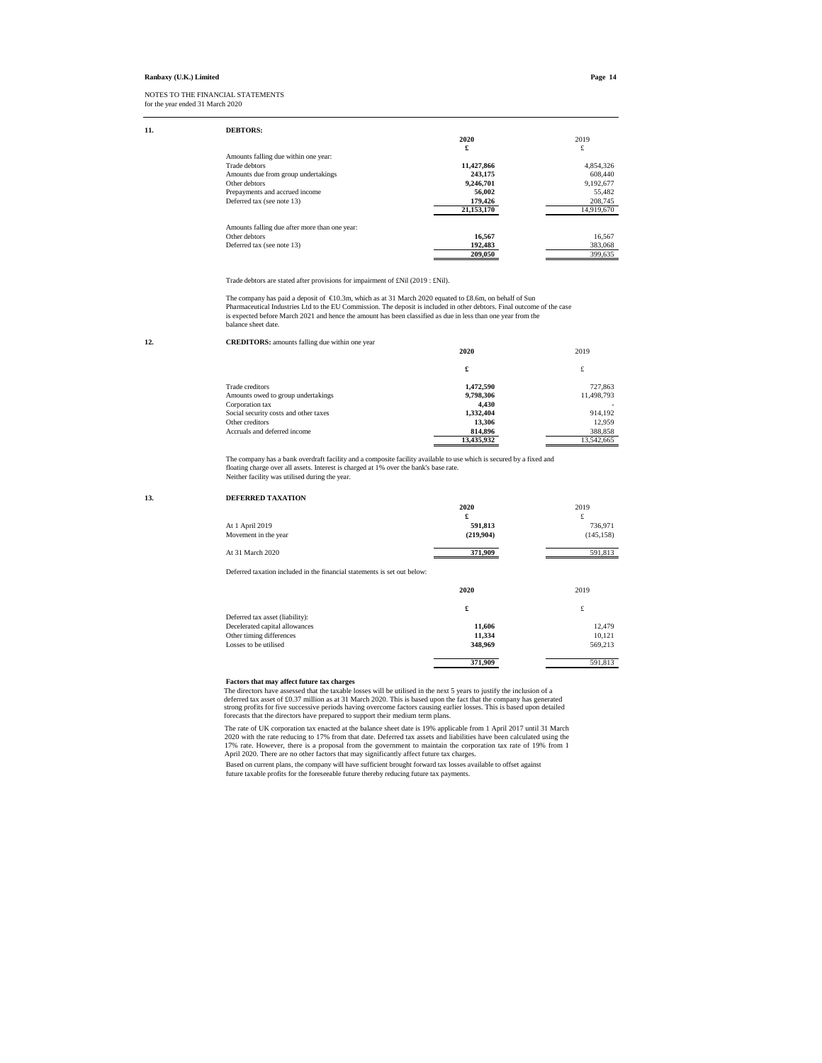NOTES TO THE FINANCIAL STATEMENTS for the year ended 31 March 2020

| 11. | <b>DEBTORS:</b>                               |            |            |
|-----|-----------------------------------------------|------------|------------|
|     |                                               | 2020       | 2019       |
|     |                                               | £          | £          |
|     | Amounts falling due within one year:          |            |            |
|     | Trade debtors                                 | 11,427,866 | 4,854,326  |
|     | Amounts due from group undertakings           | 243.175    | 608,440    |
|     | Other debtors                                 | 9.246.701  | 9,192,677  |
|     | Prepayments and accrued income                | 56.002     | 55,482     |
|     | Deferred tax (see note 13)                    | 179,426    | 208,745    |
|     |                                               | 21,153,170 | 14,919,670 |
|     | Amounts falling due after more than one year: |            |            |
|     | Other debtors                                 | 16,567     | 16,567     |
|     | Deferred tax (see note 13)                    | 192,483    | 383,068    |
|     |                                               | 209,050    | 399.635    |

Trade debtors are stated after provisions for impairment of £Nil (2019 : £Nil).

The company has paid a deposit of €10.3m, which as at 31 March 2020 equated to £8.6m, on behalf of Sun Pharmaceutical Industries Ltd to the EU Commission. The deposit is included in other debtors. Final outcome of the case<br>is expected before March 2021 and hence the amount has been classified as due in less than one year fr balance sheet date.

| 12. | <b>CREDITORS:</b> amounts falling due within one year |            |            |
|-----|-------------------------------------------------------|------------|------------|
|     |                                                       | 2020       | 2019       |
|     |                                                       | £          | £          |
|     | Trade creditors                                       | 1,472,590  | 727,863    |
|     | Amounts owed to group undertakings                    | 9.798.306  | 11,498,793 |
|     | Corporation tax                                       | 4.430      |            |
|     | Social security costs and other taxes                 | 1.332.404  | 914,192    |
|     | Other creditors                                       | 13.306     | 12.959     |
|     | Accruals and deferred income                          | 814,896    | 388,858    |
|     |                                                       | 13.435.932 | 13.542.665 |

The company has a bank overdraft facility and a composite facility available to use which is secured by a fixed and<br>floating charge over all assets. Interest is charged at 1% over the bank's base rate.<br>Neither facility was

# **13. DEFERRED TAXATION**

|                                                                          | 2020      | 2019       |  |
|--------------------------------------------------------------------------|-----------|------------|--|
|                                                                          | £         | £          |  |
| At 1 April 2019                                                          | 591,813   | 736,971    |  |
| Movement in the year                                                     | (219,904) | (145, 158) |  |
|                                                                          |           |            |  |
| At 31 March 2020                                                         | 371,909   | 591,813    |  |
| Deferred taxation included in the financial statements is set out below: |           |            |  |
|                                                                          | 2020      | 2019       |  |

**£** £ Deferred tax asset (liability): Decelerated capital allowances<br> **11,606** 12,479<br>
Other timing differences<br> **11,334** 10.121 Other timing differences<br>
10,121<br>
10,121<br>
10,121<br>
348,969<br>
569,213<br>
569,213 Losses to be utilised **371,909** 591,813

**Factors that may affect future tax charges**<br>The directors have assessed that the taxable losses will be utilised in the next 5 years to justify the inclusion of a<br>deferred tax asset of £0.37 million as at 31 March 2020. T

The rate of UK corporation tax enacted at the balance sheet date is 19% applicable from 1 April 2017 until 31 March 17020 with the rate reducing to 17% from that date. Deferred tax assets and liabilities have been calculat

Based on current plans, the company will have sufficient brought forward tax losses available to offset against future taxable profits for the foreseeable future thereby reducing future tax payments.